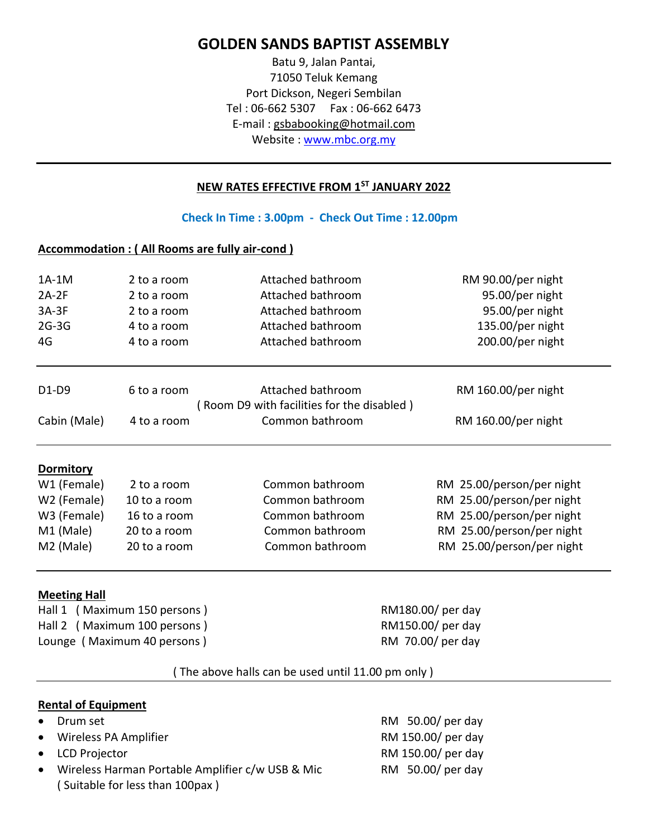## **GOLDEN SANDS BAPTIST ASSEMBLY**

Batu 9, Jalan Pantai, 71050 Teluk Kemang Port Dickson, Negeri Sembilan Tel : 06-662 5307 Fax : 06-662 6473 E-mail : gsbabooking@hotmail.com Website : [www.mbc.org.my](http://www.mbc.org.my/)

### **NEW RATES EFFECTIVE FROM 1ST JANUARY 2022**

**Check In Time : 3.00pm - Check Out Time : 12.00pm**

### **Accommodation : ( All Rooms are fully air-cond )**

| 1A-1M<br>$2A-2F$<br>$3A-3F$<br>$2G-3G$<br>4G | 2 to a room<br>2 to a room<br>2 to a room<br>4 to a room<br>4 to a room | Attached bathroom<br>Attached bathroom<br>Attached bathroom<br>Attached bathroom<br>Attached bathroom | RM 90.00/per night<br>95.00/per night<br>95.00/per night<br>135.00/per night<br>200.00/per night |
|----------------------------------------------|-------------------------------------------------------------------------|-------------------------------------------------------------------------------------------------------|--------------------------------------------------------------------------------------------------|
| D1-D9                                        | 6 to a room                                                             | Attached bathroom                                                                                     | RM 160.00/per night                                                                              |
|                                              |                                                                         | Room D9 with facilities for the disabled)                                                             |                                                                                                  |
| Cabin (Male)                                 | 4 to a room                                                             | Common bathroom                                                                                       | RM 160.00/per night                                                                              |
| Dormitory                                    |                                                                         |                                                                                                       |                                                                                                  |
| W1 (Female)                                  | 2 to a room                                                             | Common bathroom                                                                                       | RM 25.00/person/per night                                                                        |
| W2 (Female)                                  | 10 to a room                                                            | Common bathroom                                                                                       | RM 25.00/person/per night                                                                        |
| W3 (Female)                                  | 16 to a room                                                            | Common bathroom                                                                                       | RM 25.00/person/per night                                                                        |
| M1 (Male)                                    | 20 to a room                                                            | Common bathroom                                                                                       | RM 25.00/person/per night                                                                        |
| M2 (Male)                                    | 20 to a room                                                            | Common bathroom                                                                                       | RM 25.00/person/per night                                                                        |
|                                              |                                                                         |                                                                                                       |                                                                                                  |

### **Meeting Hall**

Hall 1 (Maximum 150 persons ) RM180.00/ per day Hall 2 (Maximum 100 persons ) RM150.00/ per day Lounge (Maximum 40 persons ) RM 70.00/ per day

### ( The above halls can be used until 11.00 pm only )

### **Rental of Equipment**

- 
- Wireless PA Amplifier **Example 2018** RM 150.00/ per day
- 
- Wireless Harman Portable Amplifier c/w USB & Mic RM 50.00/ per day ( Suitable for less than 100pax )

• Drum set **America** RM 50.00/ per day • LCD Projector **COVID-1000** RM 150.00/ per day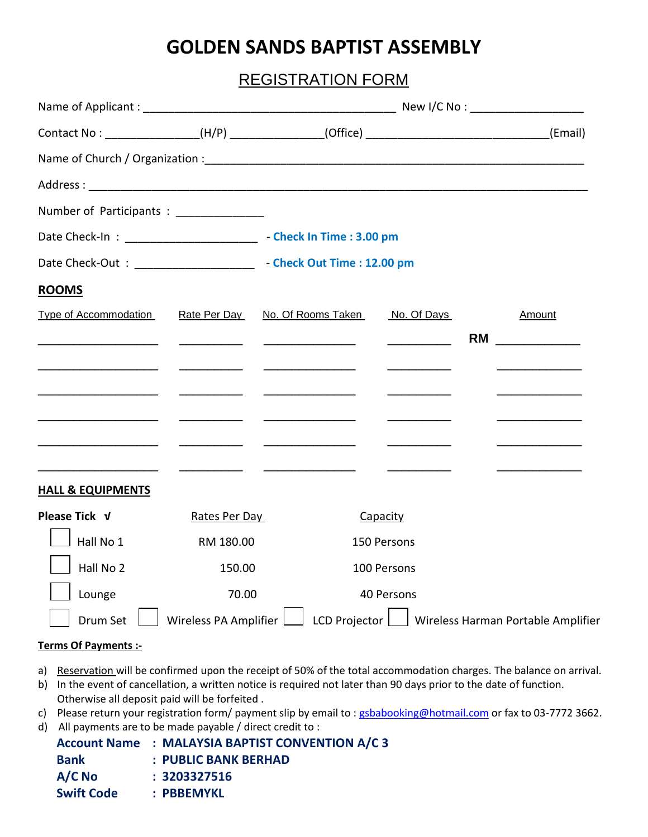# **GOLDEN SANDS BAPTIST ASSEMBLY**

## REGISTRATION FORM

|                                                                            |                                                |                                                                                                                       |                                                                     | Contact No: ________________(H/P) _____________(Office) __________________________(Email)                                         |  |
|----------------------------------------------------------------------------|------------------------------------------------|-----------------------------------------------------------------------------------------------------------------------|---------------------------------------------------------------------|-----------------------------------------------------------------------------------------------------------------------------------|--|
|                                                                            |                                                |                                                                                                                       |                                                                     |                                                                                                                                   |  |
|                                                                            |                                                |                                                                                                                       |                                                                     |                                                                                                                                   |  |
| Number of Participants : _________________                                 |                                                |                                                                                                                       |                                                                     |                                                                                                                                   |  |
| Date Check-In: __________________________________ Check In Time: 3.00 pm   |                                                |                                                                                                                       |                                                                     |                                                                                                                                   |  |
| Date Check-Out: _________________________________ Check Out Time: 12.00 pm |                                                |                                                                                                                       |                                                                     |                                                                                                                                   |  |
| <b>ROOMS</b>                                                               |                                                |                                                                                                                       |                                                                     |                                                                                                                                   |  |
| Type of Accommodation                                                      | Rate Per Day                                   | No. Of Rooms Taken                                                                                                    | No. Of Days                                                         | Amount                                                                                                                            |  |
|                                                                            | <u> 1989 - Johann Barnett, fransk konge</u>    | <u> 1999 - Johann Harry Harry Harry Harry Harry Harry Harry Harry Harry Harry Harry Harry Harry Harry Harry Harry</u> | $\overline{\phantom{a}}$ . The contract of $\overline{\phantom{a}}$ | <b>RM</b><br><u> 1990 - Jan Jawa Barat, prima prima prima prima prima prima prima prima prima prima prima prima prima prima p</u> |  |
|                                                                            |                                                |                                                                                                                       |                                                                     |                                                                                                                                   |  |
|                                                                            |                                                |                                                                                                                       |                                                                     |                                                                                                                                   |  |
|                                                                            |                                                |                                                                                                                       |                                                                     |                                                                                                                                   |  |
|                                                                            | <u>and the state of the state of the state</u> |                                                                                                                       |                                                                     |                                                                                                                                   |  |
|                                                                            |                                                |                                                                                                                       |                                                                     |                                                                                                                                   |  |
| <b>HALL &amp; EQUIPMENTS</b>                                               |                                                |                                                                                                                       |                                                                     |                                                                                                                                   |  |
| Please Tick V                                                              | Rates Per Day                                  |                                                                                                                       | Capacity                                                            |                                                                                                                                   |  |
| Hall No 1                                                                  | RM 180.00                                      |                                                                                                                       | 150 Persons                                                         |                                                                                                                                   |  |
| Hall No 2                                                                  | 150.00                                         |                                                                                                                       | 100 Persons                                                         |                                                                                                                                   |  |
| Lounge                                                                     | 70.00                                          |                                                                                                                       | 40 Persons                                                          |                                                                                                                                   |  |
| Drum Set                                                                   |                                                |                                                                                                                       |                                                                     | Wireless PA Amplifier $\Box$ LCD Projector $\Box$ Wireless Harman Portable Amplifier                                              |  |

### **Terms Of Payments :-**

- a) Reservation will be confirmed upon the receipt of 50% of the total accommodation charges. The balance on arrival.
- b) In the event of cancellation, a written notice is required not later than 90 days prior to the date of function. Otherwise all deposit paid will be forfeited .
- c) Please return your registration form/ payment slip by email to : [gsbabooking@hotmail.com](mailto:gsbabooking@hotmail.com) or fax to 03-7772 3662.
- d) All payments are to be made payable / direct credit to :

|                   | <b>Account Name : MALAYSIA BAPTIST CONVENTION A/C 3</b> |
|-------------------|---------------------------------------------------------|
| <b>Bank</b>       | $:$ PUBLIC BANK BERHAD                                  |
| $A/C$ No          | : 3203327516                                            |
| <b>Swift Code</b> | : PBBEMYKL                                              |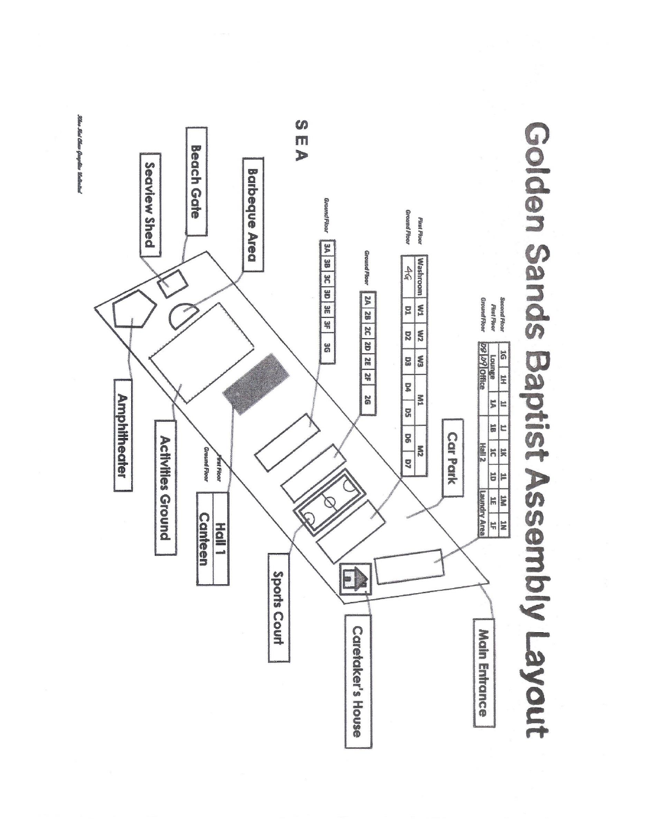

**Albee Mat Chew Geogrades Weekenked**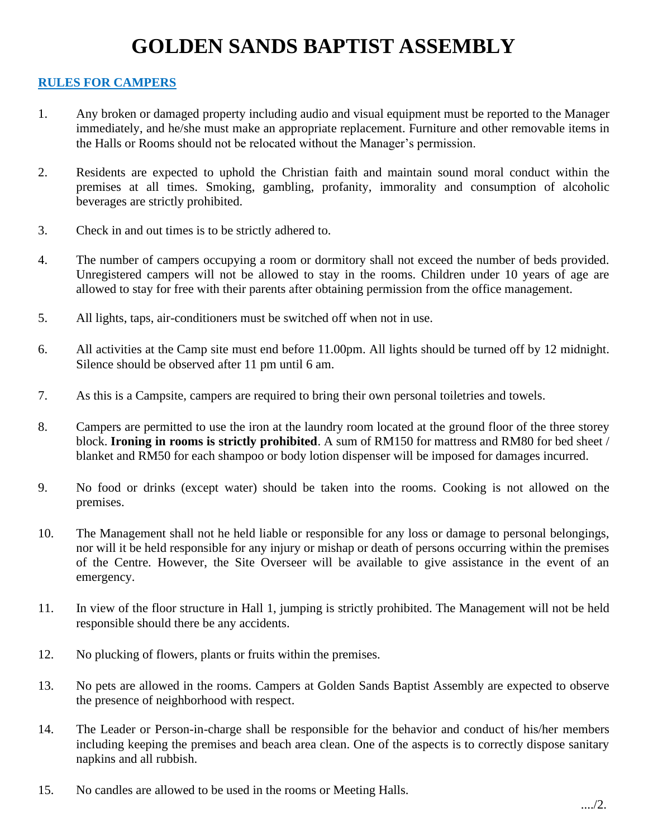# **GOLDEN SANDS BAPTIST ASSEMBLY**

### **RULES FOR CAMPERS**

- 1. Any broken or damaged property including audio and visual equipment must be reported to the Manager immediately, and he/she must make an appropriate replacement. Furniture and other removable items in the Halls or Rooms should not be relocated without the Manager's permission.
- 2. Residents are expected to uphold the Christian faith and maintain sound moral conduct within the premises at all times. Smoking, gambling, profanity, immorality and consumption of alcoholic beverages are strictly prohibited.
- 3. Check in and out times is to be strictly adhered to.
- 4. The number of campers occupying a room or dormitory shall not exceed the number of beds provided. Unregistered campers will not be allowed to stay in the rooms. Children under 10 years of age are allowed to stay for free with their parents after obtaining permission from the office management.
- 5. All lights, taps, air-conditioners must be switched off when not in use.
- 6. All activities at the Camp site must end before 11.00pm. All lights should be turned off by 12 midnight. Silence should be observed after 11 pm until 6 am.
- 7. As this is a Campsite, campers are required to bring their own personal toiletries and towels.
- 8. Campers are permitted to use the iron at the laundry room located at the ground floor of the three storey block. **Ironing in rooms is strictly prohibited**. A sum of RM150 for mattress and RM80 for bed sheet / blanket and RM50 for each shampoo or body lotion dispenser will be imposed for damages incurred.
- 9. No food or drinks (except water) should be taken into the rooms. Cooking is not allowed on the premises.
- 10. The Management shall not he held liable or responsible for any loss or damage to personal belongings, nor will it be held responsible for any injury or mishap or death of persons occurring within the premises of the Centre. However, the Site Overseer will be available to give assistance in the event of an emergency.
- 11. In view of the floor structure in Hall 1, jumping is strictly prohibited. The Management will not be held responsible should there be any accidents.
- 12. No plucking of flowers, plants or fruits within the premises.
- 13. No pets are allowed in the rooms. Campers at Golden Sands Baptist Assembly are expected to observe the presence of neighborhood with respect.
- 14. The Leader or Person-in-charge shall be responsible for the behavior and conduct of his/her members including keeping the premises and beach area clean. One of the aspects is to correctly dispose sanitary napkins and all rubbish.
- 15. No candles are allowed to be used in the rooms or Meeting Halls.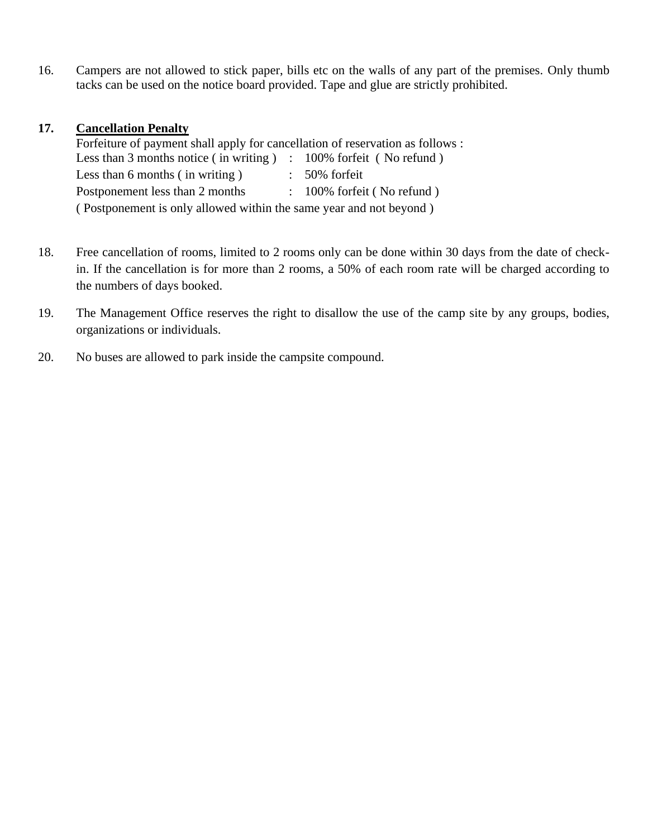16. Campers are not allowed to stick paper, bills etc on the walls of any part of the premises. Only thumb tacks can be used on the notice board provided. Tape and glue are strictly prohibited.

### **17. Cancellation Penalty**

Forfeiture of payment shall apply for cancellation of reservation as follows : Less than 3 months notice (in writing ) : 100% forfeit (No refund) Less than  $6$  months (in writing ) :  $50\%$  forfeit Postponement less than 2 months : 100% forfeit (No refund) ( Postponement is only allowed within the same year and not beyond )

- 18. Free cancellation of rooms, limited to 2 rooms only can be done within 30 days from the date of checkin. If the cancellation is for more than 2 rooms, a 50% of each room rate will be charged according to the numbers of days booked.
- 19. The Management Office reserves the right to disallow the use of the camp site by any groups, bodies, organizations or individuals.
- 20. No buses are allowed to park inside the campsite compound.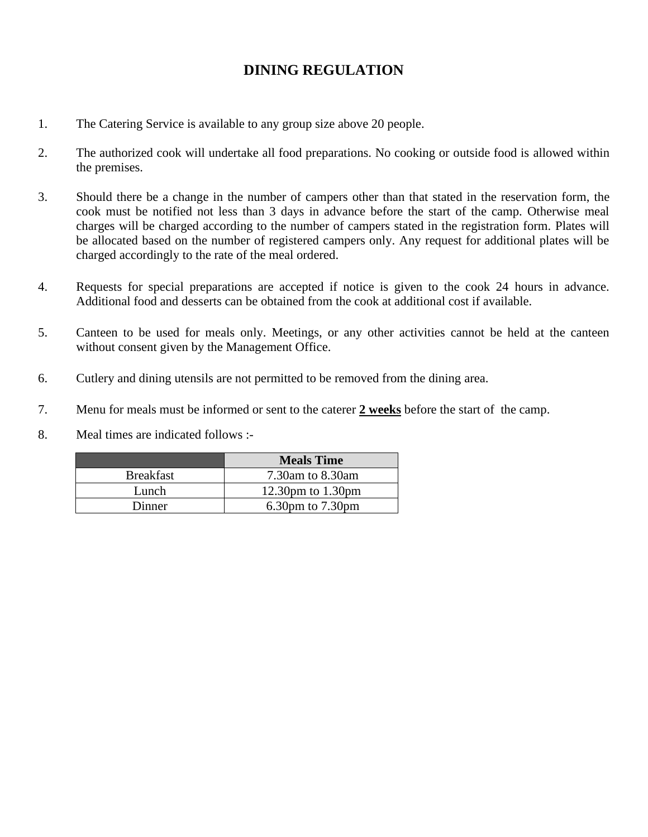## **DINING REGULATION**

- 1. The Catering Service is available to any group size above 20 people.
- 2. The authorized cook will undertake all food preparations. No cooking or outside food is allowed within the premises.
- 3. Should there be a change in the number of campers other than that stated in the reservation form, the cook must be notified not less than 3 days in advance before the start of the camp. Otherwise meal charges will be charged according to the number of campers stated in the registration form. Plates will be allocated based on the number of registered campers only. Any request for additional plates will be charged accordingly to the rate of the meal ordered.
- 4. Requests for special preparations are accepted if notice is given to the cook 24 hours in advance. Additional food and desserts can be obtained from the cook at additional cost if available.
- 5. Canteen to be used for meals only. Meetings, or any other activities cannot be held at the canteen without consent given by the Management Office.
- 6. Cutlery and dining utensils are not permitted to be removed from the dining area.
- 7. Menu for meals must be informed or sent to the caterer **2 weeks** before the start of the camp.
- 8. Meal times are indicated follows :-

| <b>Meals Time</b>      |
|------------------------|
| 7.30am to 8.30am       |
| 12.30pm to $1.30$ pm   |
| $6.30$ pm to $7.30$ pm |
|                        |